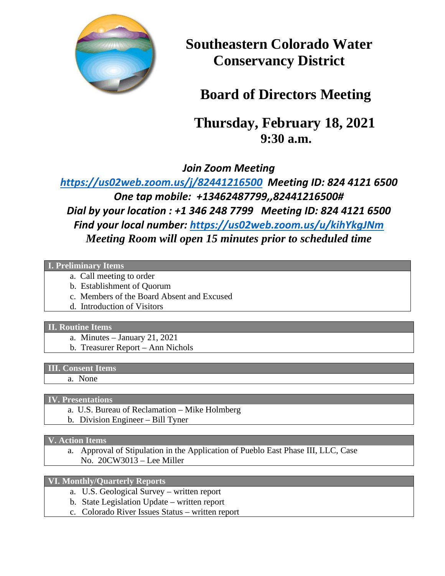

**Southeastern Colorado Water Conservancy District** 

# **Board of Directors Meeting**

 **Thursday, February 18, 2021 9:30 a.m.**

*Join Zoom Meeting*

*<https://us02web.zoom.us/j/82441216500>Meeting ID: 824 4121 6500 One tap mobile: +13462487799,,82441216500# Dial by your location : +1 346 248 7799 Meeting ID: 824 4121 6500 Find your local number:<https://us02web.zoom.us/u/kihYkgJNm> Meeting Room will open 15 minutes prior to scheduled time*

### **I. Preliminary Items**

- a. Call meeting to order
- b. Establishment of Quorum
- c. Members of the Board Absent and Excused
- d. Introduction of Visitors

#### **II. Routine Items**

- a. Minutes January 21, 2021
- b. Treasurer Report Ann Nichols

#### **III. Consent Items**

a. None

#### **IV. Presentations**

- a. U.S. Bureau of Reclamation Mike Holmberg
- b. Division Engineer Bill Tyner

**V. Action Items**

a. Approval of Stipulation in the Application of Pueblo East Phase III, LLC, Case No. 20CW3013 – Lee Miller

## **VI. Monthly/Quarterly Reports**

- a. U.S. Geological Survey written report
- b. State Legislation Update written report
- c. Colorado River Issues Status written report